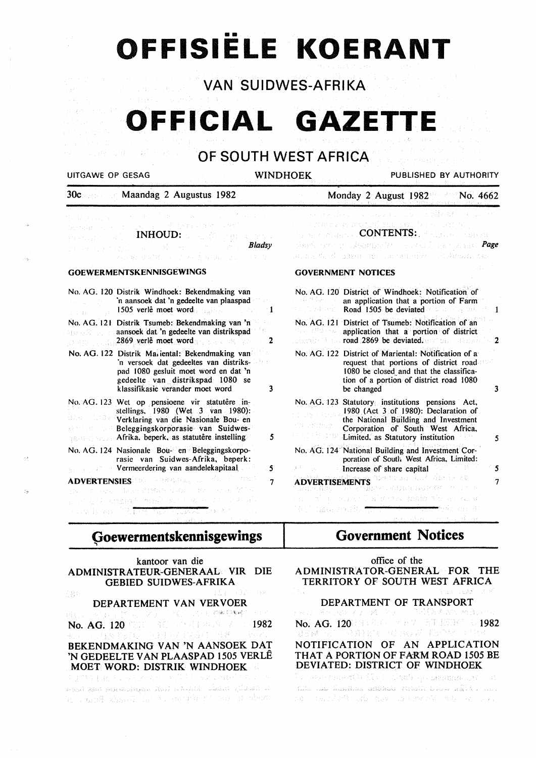# •• **OFFISIELE KOERANT**

**VAN SUIDWES-AFRIKA** 

**OFFICIAL GAZETTE** 

**OF SOUTH WEST AFRICA** 

Lawiis ao 773

J.

 $\frac{3}{2}$  by

THE CHEVROLET ST

UITGAWE OP GESAG WINDHOEK PUBLISHED BY AUTHORITY

Monday 2 August  $1982$  No. 4662

30c Maandag 2 Augustus 1982

|           | 中国的复数是国家的一个人的事物。 医神经性<br>where you have <u>a complete</u> before them and<br>Provided and <b>INHOUD:</b> a service service                                                                                                                                                                                                                                                          |  |
|-----------|-------------------------------------------------------------------------------------------------------------------------------------------------------------------------------------------------------------------------------------------------------------------------------------------------------------------------------------------------------------------------------------|--|
|           | The first property of the construction of the second property of the second property of the second property of<br>KALL WE SEARCH AND TO ARRIVE A SAME CALL THIS CAN                                                                                                                                                                                                                 |  |
|           | <b>GOEWERMENTSKENNISGEWINGS</b>                                                                                                                                                                                                                                                                                                                                                     |  |
| は、1944年1月 | No. AG. 120 Distrik Windhoek: Bekendmaking van<br>'n aansoek dat 'n gedeelte van plaaspad<br>1505 verlê moet word and a series of the series of the series of the series of the series of the series of the<br>$\sim$ 1                                                                                                                                                             |  |
|           | No. AG. 121 Distrik Tsumeb: Bekendmaking van 'n<br><b>Example 2018</b> and a solution of the search of the search of the search of the search of the search of the search of the search of the search of the search of the search of the search of the search of the search of the sea<br>$\beta$ and $\beta$ and $\alpha$ 2869 verification word $\beta$ and $\beta$ and $\beta$ 2 |  |
|           | No. AG. 122 Distrik Mariental: Bekendmaking van<br>'n versoek dat gedeeltes van distriks-<br>pad 1080 gesluit moet word en dat 'n<br>gedeelte van distrikspad 1080 se<br>klassifikasie verander moet word<br>3                                                                                                                                                                      |  |
|           | No. AG. 123 Wet op pensioene vir statutêre in-<br>stellings. 1980 (Wet 3 van 1980):<br>Verklaring van die Nasionale Bou- en<br><b>Example 2.5 Beleggingskorporasie van Suidwes-</b><br><b>Remains Afrika, beperk, as statutêre instelling</b><br>5                                                                                                                                  |  |
|           | No. AG. 124 Nasionale Bou- en Beleggingskorpo<br>rasie van Suidwes-Afrika, beperk:<br><b>Second Permeerdering van aandelekapitaal</b><br>5                                                                                                                                                                                                                                          |  |
|           | <b>ADVERTENSIES</b> and of the state of the first terms<br>7                                                                                                                                                                                                                                                                                                                        |  |
|           | the convergence of the problem of the convergence<br>and in the small field may be more than the ad-                                                                                                                                                                                                                                                                                |  |

# **9oewermentskennisgewings**

| kantoor van die<br>ADMINISTRATEUR-GENERAAL VIR DIE<br><b>GEBIED SUIDWES-AFRIKA</b> |  |
|------------------------------------------------------------------------------------|--|
| おんまい よきふく コッタ                                                                      |  |
| DEPARTEMENT VAN VERVOER                                                            |  |
| ell Line (美容) グリーンシー さのこばせい 乾燥受料値 プロイ                                              |  |
| No. AG. 120 320 320 331 332 340 340 352                                            |  |
| 4. 以上, 自身主要的, 一则对于表的功能的一致难以。 早夜的                                                   |  |
| BEKENDMAKING VAN 'N AANSOEK DAT                                                    |  |
| 'N GEDEELTE VAN PLAASPAD 1505 VERLÊ                                                |  |
| MOET WORD: DISTRIK WINDHOEK                                                        |  |
| 그 대회의 일본 물건을 받는 것 같은데 그 사람들은 다녀와 어려워서 하고 있다.                                       |  |
|                                                                                    |  |

કાઇટર્સ સ્ટિટી ઇલોક્સ્ટેડર્સ્ટ્રિક્ટ્સ્ટ્રેટ ક્રિકેટર્સ કર્યાફ્રેટર્સ્ટ પહેલોનેટર્સ્ટ ટ્રેપ્ટેસ્ટ અને પ્ર in stand and in the second in the Board

|                            | e - Souma a marata fillogo, ta el súlto.<br>$\mathbb{Z}_{2^{n-2} \mathbb{Z}} \times \mathbb{Z}_{\mathbb{Q} \times \mathbb{Z}_{\mathbb{Z}}}$ , $\mathbb{COMIENTS}_{\mathbb{Z}_{\mathbb{Z}}}$ , $\mathbb{Z}_{\mathbb{Z}, \mathbb{Q} \times \mathbb{Z}}$ , and an<br>simple and as advocated the accorded top research <b>Page</b> . |
|----------------------------|-----------------------------------------------------------------------------------------------------------------------------------------------------------------------------------------------------------------------------------------------------------------------------------------------------------------------------------|
|                            | acainí dheil sagail air car ceimile chocheadach                                                                                                                                                                                                                                                                                   |
|                            | <b>GOVERNMENT NOTICES</b>                                                                                                                                                                                                                                                                                                         |
| かいこうさんあげきょうし               | No. AG. 120 District of Windhoek: Notification of<br>an application that a portion of Farm<br>Road 1505 be deviated a community<br>$\sim$ 1.                                                                                                                                                                                      |
| Na Hinda alu<br>Perajaan P | No. AG. 121 District of Tsumeb: Notification of an<br>application that a portion of district<br><b>Compared 2869 be deviated.</b> The compared 2                                                                                                                                                                                  |
|                            | No. AG. 122 District of Mariental: Notification of a<br>request that portions of district road<br>1080 be closed and that the classifica-<br>tion of a portion of district road 1080<br>be changed                                                                                                                                |
| (カーバタル) いんぬ                | No. AG. 123 Statutory institutions pensions Act,<br>1980 (Act 3 of 1980): Declaration of<br>the National Building and Investment<br>Corporation of South West Africa,<br>Limited, as Statutory institution                                                                                                                        |
|                            | No. AG. 124 National Building and Investment Cor-<br>poration of South West Africa, Limited:                                                                                                                                                                                                                                      |
| ng ik                      | Increase of share capital                                                                                                                                                                                                                                                                                                         |
|                            | ADVERTISEMENTS WARDED AND MEDIA ACT<br>TERRETROP OF STIPS OF                                                                                                                                                                                                                                                                      |

# **Government Notices**

| ADMINISTRATOR-GENERAL FOR THE                                         | office of the |             |
|-----------------------------------------------------------------------|---------------|-------------|
| TERRITORY OF SOUTH WEST AFRICA<br>i ali                               |               | うにこうしょう ストイ |
| DEPARTMENT OF TRANSPORT                                               |               |             |
| 五元 2017年1月28日至安,诸王之子。 草原 镜 考索图 格普克兰人                                  |               |             |
| No. AG. 120 331 832 - MAY 87 1814 1982<br>计分子 化合金纸 医头发的 对于法律的 计分类器    |               |             |
| NOTIFICATION OF AN APPLICATION                                        |               |             |
| THAT A PORTION OF FARM ROAD 1505 BE<br>DEVIATED: DISTRICT OF WINDHOEK |               |             |
| te salemente de fortularis de desembario et                           |               |             |
| his si kaalus, intiki putati taa 111 a                                |               |             |
| sa sacial da mar marak bi ya Ja                                       |               |             |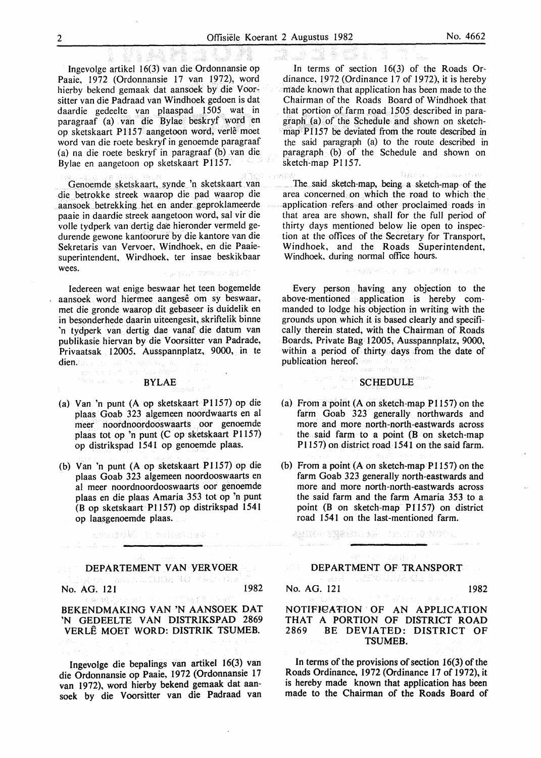Ingevolge artikel 16(3) van die Ordonnansie op Paaie, 1972 (Ordonnansie 17 van 1972), word hierby bekend gemaak dat aansoek by die Voorsitter van die Padraad van Windhoek gedoen is dat daardie gedeelte van plaaspad 1505 wat in paragraaf (a) van die Bylae beskryf word en op sketskaart P1157 aangetoon word, verle moet word van die roete beskryf in genoemde paragraaf (a) na die roete beskryf in paragraaf (b) van die Bylae en aangetoon op sketskaart P1157.

Genoemde sketskaart, synde 'n sketskaart van die betrokke streek waarop die pad waarop die aansoek. betrekking het en ander. geproklameerde paaie in daardie streek aangetoon word, sal vir die volle tydperk van dertig dae hieronder vermeld gedurende gewone kantoorure by die kantore van die Sekretaris van Vervoer, Windhoek, en die Paaiesuperintendent, Wirdhoek, ter insae beskikbaar wees. Instance Dutakid

ledereen wat enige beswaar het teen bogemelde aansoek word hiermee aangesê om sy beswaar, met die gronde waarop dit gebaseer is duidelik en in besonderhede daarin uiteengesit, skriftelik binne 'n tydperk van dertig dae vanaf die datum van publikasie hiervan by die Voorsitter van Padrade, Privaatsak 12005, Ausspannplatz, 9000, in te dien.

### $\left\langle \left\{ \delta \phi \left( \left\{ \left\{ \left\langle \phi, \left\langle \phi \right\rangle \right\rangle \right\} \right) \left\{ \left\{ \left\{ \phi \right\} \right\} \right\} \right\} \right\} \right\rangle$ BYLAE

- (a) Van 'n punt (A op sketskaart P1157) op die plaas Goab 323 algemeen noordwaarts en al meer noordnoordooswaarts oor genoemde plaas tot op 'n punt (C op sketskaart P1157) op distrikspad 1541 op genoemde plaas.
- (b) Van 'n punt (A op sketskaart Pll57) op die plaas Goab 323 algemeen noordooswaarts en al meer noordnoordooswaarts oor genoemde plaas en die plaas Amaria 353 tot op 'n punt (B op sketskaart P1157) op distrikspad 1541 op laasgenoemde plaas.

法规定的解除 的 医细胞细胞素质

# DEPARTEMENT VAN YERVOER No. AG. 121 1982 No. AG. 121 1982

الجدالية البئدة

### BEKENDMAKING VAN 'N AANSOEK DAT 'N GEDEELTE VAN DISTRIKSPAD 2869 VERLE MOET WORD: DISTRIK TSUMEB.

Ingevolge die bepalings van artikel 16(3) van die Ordonnansie op Paaie, 1972 (Ordonnansie 17 van 1972), word hierby bekend gemaak dat aansoek by die Voorsitter van die Padraad van

In terms of section 16(3) of the Roads Ordinance, 1972 (Ordinance 17 of 1972), it is hereby made known that application has been made to the Chairman of the Roads Board of Windhoek that that portion of farm road 1505 described in paragraph (a) of the Schedule and shown on sketchmap Pl157 be deviated from the route described in the said paragraph (a) to the route described in paragraph (b) of the Schedule and shown on sketch-map P1157.

The said sketch-map, being a sketch-map of the area concerned on which the road to which the application refers and other proclaimed roads in that area are shown, shall for the full period of thirty days mentioned below lie open to inspection at the offices of the Secretary for Transport, Windhoek, and the Roads Superintendent, Windhoek. during normal office hours.

 $D_{NN}$ 

(者取締合しず、(ほえど)に避難せなんまの)

Every person having any objection to the above-mentioned application is hereby commanded to lodge his objection in writing with the grounds upon which it is based clearly and specifically therein stated, with the Chairman of Roads Boards, Private Bag 12005, Ausspannplatz, 9000, within a period of thirty days from the date of publication hereof.

### **SCHEDULE**

isho i Barga

provenity.

- (a) From a point (A on sketch-map P1157) on the farm Goab 323 generally northwards and more and more north-north-eastwards across the said farm to a point (B on sketch-map P1157) on district road 1541 on the said farm.
- (b) From a point (A on sketch-map P1157) on the farm Goab 323 generally north-eastwards and more and more north-north-eastwards across the said farm and the farm Amaria 353 to a point (B on sketch-map P1157) on district road 1541 on the last-mentioned farm.

■ 2012年12月10日 第2回 10:00 10:00 10:00 10:00 10:00 10:00 10:00 10:00 10:00 10:00 10:00 10:00 10:00 10:0

### DEPARTMENT OF TRANSPORT

- 12월 12일 - 41일

No. AG. 121 1982

### NOTIFICATION OF AN APPLICATION THAT A PORTION OF DISTRICT ROAD 2869 BE DEVIATED: DISTRICT OF TSUMEB.

In terms of the provisions of section 16(3) of the Roads Ordinance, 1972 (Ordinance 17 of 1972), it is hereby made known that application has been made to the Chairman of the Roads Board of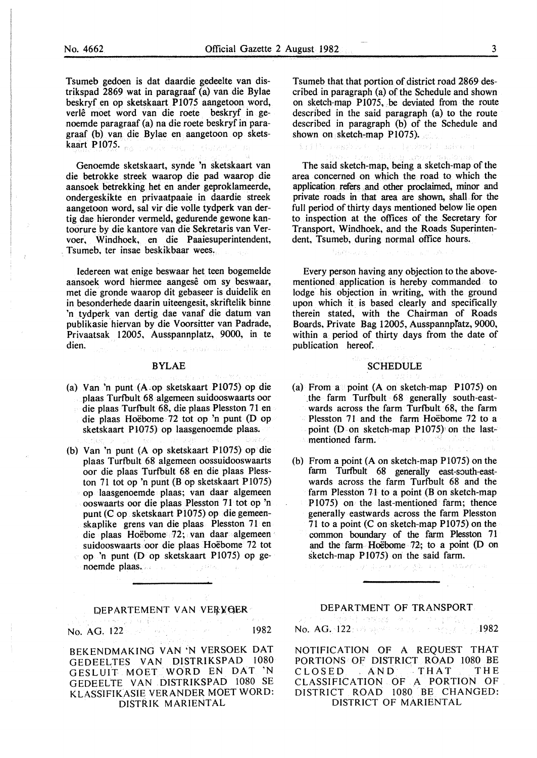Tsumeb gedoen is dat daardie gedeelte van distrikspad 2869 wat in paragraaf (a) van die Bylae beskryf en op sketskaart P1075 aangetoon word, verlê moet word van die roete beskryf in genoemde paragraaf (a) na die roete beskryf in paragraaf (b) van die Bylae en aangetoon op sketskaart P1075.

Genoemde sketskaart, synde 'n sketskaart van die betrokke streek waarop die pad waarop die aansoek betrekking het en ander geproklameerde, ondergeskikte en privaatpaaie in daardie streek aangetoon word, sal vir die voile tydperk van dertig dae hieronder vermeld, gedurende gewone kantoorure by die kantore van die Sekretaris van Vervoer, Windhoek, en die Paaiesuperintendent, Tsumeb, ter insae beskikbaar wees.

Iedereen wat enige beswaar het teen bogemelde aansoek word hiermee aangesê om sy beswaar, met die gronde waarop dit gebaseer is duidelik en in besonderhede daarin uiteengesit, skriftelik binne 'n tydperk van dertig dae vanaf die datum van publikasie 'hiervan by die Voorsitter van Padrade, Privaatsak 12005, Ausspannplatz, 9000, in te dien. the county and shown

### BYLAE

- (a) Van 'n punt (A.op sketskaart Pl075) op die plaas Turfbult 68 algemeen suidooswaarts oor die plaas Turfbult 68, die plaas Plesston 71 en die plaas Hoebome 72 tot op 'n punt (D op sketskaart Pl075) op laasgenoemde plaas.
- (b) Van 'n punt (A op sketskaart P1075) op die plaas Turfbult 68 algemeen oossuidooswaarts oor die plaas Turfbult 68 en die plaas Plesston 71 tot op 'n punt (B op sketskaart P $1075$ ) op laasgenoemde plaas; van daar algemeen ooswaarts oor die plaas. Plesston 71 tot op 'n punt (C op sketskaart P1075) op die gemeenskaplike grens van die plaas Plesston 71 en die plaas Hoebome 72; van daar algemeen suidooswaarts 'oor die plaas Hoebome 72 tot op 'n punt (D op sketskaart P1075) op genoemde plaas. in gans,

### DEPARTEMENT VAN VERVOER

No. AG. 122 1982

BEKENDMAKING VAN 'N VERSOEK OAT GEDEELTES VAN DISTRIKSPAD 1080 GESLUIT MOET WORD EN OAT 'N GEDEELTE VAN DISTRIKSPAD 1080 SE KLASSIFIKASIE VERANDER MOET WORD: DISTRIK MARIENTAL

Tsumeb that that portion of district road 2869 described in paragraph (a) of the Schedule and shown on sketch-map P1075, be deviated from the route described in the said paragraph (a) to the route described in paragraph (b) of the Schedule and shown on sketch-map  $P1075$ .

Siffle response in highest Canber a

The said sketch-map, being a sketch-map of the area concerned on which the road to which the application refers and other proclaimed, minor and private roads in that area are shown, shall for the full period of thirty days mentioned below lie open to inspection at the offices of the Secretary for Transport, Windhoek, and the Roads Superintendent, Tsumeb, during normal office hours.

Every person having any objection to the abovementioned application is hereby commanded to lodge his objection in writing, with the ground upon which it is based clearly and specifically therein stated, with the Chairman of Roads Boards, Private Bag 12005, Ausspannpfatz, 9000, within a period of thirty days from the date of publication hereof.

### **SCHEDULE**

- (a) From a point  $(A \text{ on sketch-map } P1075)$  on \_the farm Turfbult 68 generally south-eastwards across the farm Turfbult 68, the farm Plesston 71 and the farm Hoëbome 72 to a point (D on sketch-map P1075) on the lastmentioned farm.
- (b) From a point (A on sketch-map Pl075) on the farm Turfbult 68 generally east-south-eastwards across the farm Turfbult 68 and the farm Plesston 71 to a point  $(B \text{ on sketch-map})$ Pl075) on the last-mentioned farm; thence generally eastwards across the farm Plesston 71 to a point  $(C \text{ on sketch-map } P1075)$  on the common boundary of the farm Plesston 71 and the farm Hoebome 72; to a point (D on sketch-map P1075) on the said farm.

್ಯಾರ್ಥ್ ಫೆ.ಎಂ.ಕರ್ಡ್ ಶೃಷ್ಟಿ ಕರ್ನಾಟಕ ಚರ್ಮಾ

# **DEPARTMENT OF TRANSPORT**

No. AG. 122: 09 98221 2003 100 2003 100 1982

NOTIFICATION OF A REQUEST THAT PORTIONS OF DISTRICT ROAD 1080 BE CLOSED AND THAT THE CLASSIFICATION OF A PORTION OF DISTRICT ROAD 1080 BE CHANGED: DISTRICT OF MARIENTAL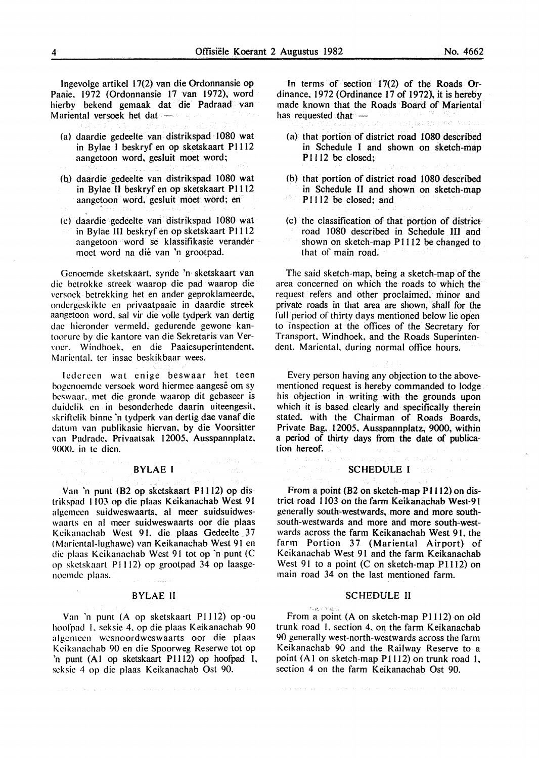lngevolge artikel 17(2) van die Ordonnansie op Paaie. 1972 (Ordonnansie 17 van 1972), word hierby bekend gemaak dat die Padraad van Mariental versoek het dat -

- (a) daardie gedeelte van distrikspad 1080 wat in Bylae I beskryf en op sketskaart P1112 aangetoon word. gesluit moet word;
- (b) daardie gedeelte van distrikspad 1080 wat in Bylae II beskryf en op sketskaart P1112 aangetoon word, gesluit moet word; en
- (c) daardie gedeelte van distrikspad 1080 wat in Bylae III beskryf en op sketskaart PI112 aangetoon word se klassifikasie verander moet word na die van 'n grootpad.

Gcnocmde sketskaart. synde 'n sketskaart van die bctrokke streek waarop die pad waarop die vcrsock betrekking het en ander geproklameerde, ondcrgeskikte en privaatpaaie in daardie streek aangetoon word. sal vir die volle tydperk van dertig dac hieronder vermeld. gedurende gewone kantoorure by die kantore van die Sekretaris van Ver- \·oer. Windhoek. en die Paaiesuperintendent. Mariental, ter insae beskikbaar wees.

lcdcrccn wat enige beswaar het teen bogenoemde versoek word hiermee aangesê om sy beswaar. met die gronde waarop dit gebaseer is duidclik en in besonderhede daarin uiteengesit. skriftelik binne 'n tydperk van dertig dae vanaf die datum van publikasic hiervan. by die Voorsitter \·an Padrade. Privaatsak 12005. Ausspannplatz. 9000. in te dicn.

### BYLAE I

Van 'n punt (B2 op sketskaart P1112) op distrikspad 1103 op die plaas Keikanachab West 91 algemccn suidweswaarts. al meer suidsuidweswaarts en al mecr suidweswaarts oor die plaas Keikanachab West 91, die plaas Gedeelte 37 ( Mariental-lughawe) van Keikanachab West 91 en die plaas Keikanachab West 91 tot op 'n punt (C op skctskaart PI I 12) op grootpad 34 op laasgenoemde plaas.

### BYLAE II

Van 'n punt (A op sketskaart P1112) op ou hoofpad I. seksie 4. op die plaas Keikanachab 90 algemecn wesnoordweswaarts oor die plaas Keikanachab 90 en die Spoorweg Reserwe tot op 'n punt (AI op sketskaart Pl112) op hoofpad 1, scksic 4 op die plaas Keikanachab Ost 90.

In terms of section 17(2) of the Roads Ordinance. 1972 (Ordinance 17 of 1972). it is hereby made known that the Roads Board of Mariental has requested that and Represente

- (a) that portion of district road 1080 described in Schedule I and shown on sketch-map P<sub>1112</sub> be closed:
- (b) that portion of district road 1080 described in Schedule II and shown on sketch-map P<sub>1112</sub> be closed; and
- (c) the classification of that portion of district· road 1080 described in Schedule III and shown on sketch-map P1112 be changed to that of main road.

The said sketch-map, being a sketch-map of the area concerned on which the roads to which the request refers and other proclaimed, minor and private roads in that area are shown, shall for the full period of thirty days mentioned below lie open to inspection at the offices of the Secretary for Transport. Windhoek. and the Roads Superintendent. Mariental. during normal office hours.

Every person having any objection to the abovementioned request is hereby commanded to lodge his objection in writing with the grounds upon which it is based clearly and specifically therein stated. with the Chairman of Roads Boards, Private Bag. 12005, Ausspannplatz, 9000, within a period of thirty days from the date of publication hereof.

### SCHEDULE I

计线圈

From a point (B2 on sketch-map Pl112) on district road 1103 on the farm Keikanachab West-91 generally south-westwards, more and more southsouth-westwards and more and more south~westwards across the farm Keikanachab West 91, the farm Portion 37 (Mariental Airport) of Keikanachab West 91 and the farm Keikanachab West 91 to a point (C on sketch-map Pl112) on main road 34 on the last mentioned farm.

### SCHEDULE II

**Public Main** 

From a point (A on sketch-map P1112) on old trunk road I. section 4. on the farm Keikanachab 90 generally west-north-westwards across the farm Keikanachab 90 and the Railway Reserve to a point  $(A1$  on sketch-map P1112) on trunk road 1, section 4 on the farm Keikanachab Ost 90.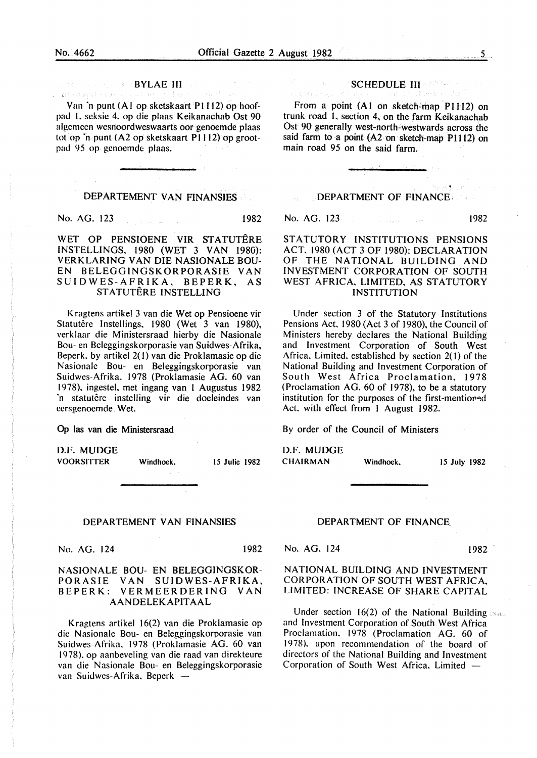participant discussions

### **BYLAE III**

Van 'n punt (A I op sketskaart P 1112) op hoofpad I. scksic 4. op die plaas Keikanachab Ost 90 algemeen wesnoordweswaarts oor genoemde plaas tot op 'n punt (A2 op sketskaart P1112) op grootpad 95 op genoemde plaas.

### DEPARTEMENT VAN FINANSIES

No. AG. 123 1982

WET OP PENSIOENE VIR STATUTERE INSTELLINGS, 1980 (WET 3 VAN 1980): VERKLARING VAN DIE NASIONALE BOU-EN BELEGGINGSKORPORASIE VAN SUIDWES-AFRIKA, BEPERK, AS STATUTÊRE INSTELLING

Kragtens artikel 3 van die Wet op Pensioene vir Statutêre Instellings, 1980 (Wet 3 van 1980), verklaar die Ministersraad hierby die Nasionale Bou- en Bcleggingskorporasie van Suidwes-Afrika, Beperk. by artikel 2( I) van die Proklamasie op die Nasionalc Bou- en Beleggingskorporasie van Suidwes-Afrika. 1978 (Proklamasie AG. 60 van 1978). ingestel. met ingang van I Augustus 1982 'n statutêre instelling vir die doeleindes van ccrsgenocmde Wet.

0p las van die Ministersraad

D.F. MUDGE VOORSITTER Windhoek. 15 Julie 1982

### DEPARTEMENT VAN FINANSIES

No. AG. 124 1982

### NASIONALE BOU- EN BELEGGINGSKOR-PORASIE VAN SUIDWES-AFRIKA, BEPERK: VERMEERDERING VAN AANDELEKAPITAAL

Kragtens artikel 16(2) van die Proklamasie op die Nasionalc Bou- en Beleggingskorporasie van Suidwes-Afrika. 1978 (Proklamasie AG. 60 van 1978). op aanbeveling van die raad van direkteure van die Nasionale Bou- en Beleggingskorporasie van Suidwes-Afrika, Beperk -

### SCHEDULE III ENTERT

From a point (A1 on sketch-map P1112) on trunk road I. section 4, on the farm Keikanachab Ost 90 generally west-north-westwards across the said farm to a point (A2 on sketch-map P1112) on main road 95 on the said farm.

### DEPARTMENT OF FINANCE

No. AG. 123 1982

Je daar

STATUTORY INSTITUTIONS PENSIONS ACT. 1980 (ACT 3 OF 1980): DECLARATION OF THE NATIONAL BUILDING AND INVESTMENT CORPORATION OF SOUTH WEST AFRICA, LIMITED, AS STATUTORY INSTITUTION

Under section 3 of the Statutory Institutions Pensions Act. 1980 (Act 3 of 1980), the Council of Ministers hereby declares the National Building and Investment Corporation of South West Africa. Limited. established by section 2( l) of the National Building and Investment Corporation of South West Africa Proclamation, 1978 (Proclamation AG. 60 of 1978), to be a statutory institution for the purposes of the first-mentioned Act. with effect from I August 1982.

By order of the Council of Ministers

D.F. MUDGE CHAIRMAN Windhoek. 15 July 1982

### DEPARTMENT OF FINANCE.

No. AG. 124 1982

### NATIONAL BUILDING AND INVESTMENT CORPORATION OF SOUTH WEST AFRICA. LIMITED: INCREASE OF SHARE CAPITAL

Under section 16(2) of the National Building  $\mathbb{N}_{\text{det}}$ and Investment Corporation of South West Africa Proclamation. 1978 (Proclamation AG. 60 of 1978). upon recommendation of the board of directors of the National Building and Investment Corporation of South West Africa, Limited -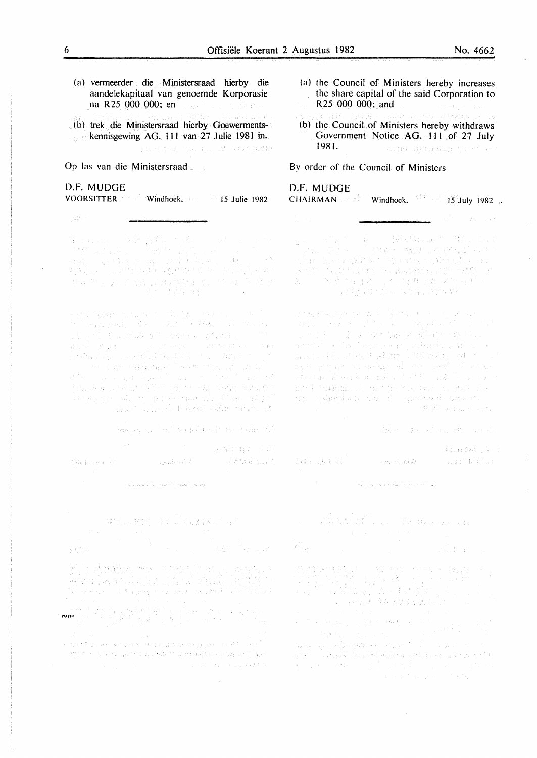- (a) vermeerder die Ministersraad hierby die aandelekapitaal van genoemde Korporasie na R25 000 000: en
- (b) trek die Ministersraad hierby Goewermentskennisgewing AG. 111 van 27 Julie 1981 in. The police box the 12 best man

### Op las van die Ministersraad

### D.F. MUDGE VOORSITTER **Voorsitter** Windhoek. 15 Julie 1982

 $\begin{split} &\mathcal{R}_{\text{c}}(\mathbf{q},\mathbf{q},\mathbf{q}) = \mathcal{R}_{\text{c}}^{\text{c}}(\mathbf{q},\mathbf{q}^{\text{c}}), \mathcal{R}_{\text{c}}^{\text{c}} = \mathcal{R}_{\text{c}}^{\text{c}}(\mathbf{q},\mathbf{q}^{\text{c}}), \mathcal{R}_{\text{c}}^{\text{c}}(\mathbf{q},\mathbf{q}^{\text{c}}), \mathcal{R}_{\text{c}}^{\text{c}}(\mathbf{q},\mathbf{q}^{\text{c}}), \mathcal{R}_{\text{c}}^{\text{c}}(\mathbf{q$ 对某人 计可变变 医射线的复数形式 医心房切除术 经外 了,如果是,我们的人,我们是,我们的人,我们的人们的

a Bizan administrativa (m. 1972)<br>1901 - Paul Donald, político político e de Maria (m. 1972)<br>1912 - Portugal Instituto de Paul Maria (m. 1982) น<br>นักเจ้า เป็นเกรียม การเขาเขาเขา การเขา เป็นเรียนสารา การเขา<br>วางเรื่องไม่สุด เขาเขาเขาเขาเข้ามาเข้า การเกรียม การเขา in a control de l'arrivat de la calendaria del possibilità della militaria del possibilità della militaria del<br>1963 – Carlo del Carlo del Carlo del Carlo del Carlo del Carlo del Carlo del Carlo del Carlo del Carlo del Ca<br>1 mission and the main series of

Seeparation for December 2010 to 10 Game 21

 $\mathbb{P}^{(1)}\otimes\cdots\otimes\mathbb{P}^{(k)}\mathcal{N}\mathcal{V}\mathcal{V}(\mathcal{A})\cong\mathbb{C}$  $\widehat{\mathbb{E}}_{\mathbb{P}}[V_{\mathbb{P}}] = \{ \mathbb{P}_{\mathbb{P}}[V_{\mathbb{P}}] \mid \mathbb{P}_{\mathbb{P}}[V_{\mathbb{P}}] = \mathbb{P}_{\mathbb{P}}[V_{\mathbb{P}}] \mid \mathbb{P}_{\mathbb{P}}[V_{\mathbb{P}}] = \mathbb{P}_{\mathbb{P}}[V_{\mathbb{P}}] \mid \mathbb{P}_{\mathbb{P}}[V_{\mathbb{P}}] = \mathbb{P}_{\mathbb{P}}[V_{\mathbb{P}}] \mid \mathbb{P}_{\mathbb{P}}[V_{\mathbb{P}}] = \mathbb$ 

and the contract of the company of the company of the company of the company of the company of the company of the company of the company of the company of the company of the company of the company of the company of the com

 $\sim$ 

(b) the Council of Ministers hereby withdraws Government Notice AG. 111 of 27 July 1981. s kinne skapsma on of a

### By order of the Council of Ministers

### D.F. MUDGE  $CHAIRMAN$  Windhoek.  $15$  July 1982...

ということである。この最も、これを含められていましょう。<br>このから、それを、この業者が、今年は、今年は私にはずいく 医光光 的复数人民意作为小说的复数形式英美的变形人名  $Z_{\rm eff} = -2\pi \sqrt{2}$  ,  $Z_{\rm eff} = \frac{1}{2}$  ,  $Z_{\rm eff} = 2\pi \sqrt{2}$  ,  $Z_{\rm eff} = 2\pi \sqrt{2}$  ,  $Z_{\rm eff} = 2\pi \sqrt{2}$ (1) 人名德里尔尔 医马克里尔 经不能利用

19 anns an 2007 an t-Albany (1992)<br>1982 - John Borth College - Ryss and Politics<br>1970 - Joseph American Barry (1992) วมที่ที่ที่ 1 ว่า ครั้งจะเป็นแม้ว่า นายที่ 1 วันนี้ เป็นได้แบบ หรือ จันนี้ เป็น 1 ว่า<br>วันเวลา นาย นาย เราเกิดจะเป็นได้ เรียน เรียน ซึ่งเป็นได้เป็นเครื่อง 1 ว่า ส The contribution of the first contribution of the contribution of the contribution of the contribution of the contribution of the contribution of the contribution of the contribution of the contribution of the contribution a de la caracción de la caracción de la caracción.<br>En la caracción de la caracción de la caracción de la caracción de la caracción de la caracción de la caracció  $\label{eq:2} \mathbb{E} \mathbb{E} \mathbb{E} \left[ \mathbb{E} \left[ \mathbb{E} \left[ \mathbb{E} \left[ \mathbb{E} \left[ \mathbb{E} \left[ \mathbb{E} \left[ \mathbb{E} \left[ \mathbb{E} \left[ \mathbb{E} \left[ \mathbb{E} \left[ \mathbb{E} \left[ \mathbb{E} \left[ \mathbb{E} \left[ \mathbb{E} \left[ \mathbb{E} \left[ \mathbb{E} \left[ \mathbb{E} \left[ \mathbb{E} \left[ \mathbb{E} \left[ \mathbb{E} \left[ \mathbb{E} \left[ \mathbb$ na salmida a dia 10 grapovi prostan.

ARE REAL REAL PROPERTY

**SED BERRY COLL**  $\sim$  section<br>(7.0  $\sim$   $\sim$   $\sim$   $\sim$   $\sim$   $\sim$ 了到什么回来说?

.<br>Harvard Start Henrich (Medicine Start Start Start Henri Start)

and weather that have an

- 長期11日

1. 法法规 网络多层类型的第三层 人名

 $\label{eq:3.1} \begin{split} \mathcal{F}_{\mathcal{A}}^{\mathcal{A}}(\mathcal{A}) = & \mathcal{F}_{\mathcal{A}}^{\mathcal{A}}(\mathcal{A}) = \mathcal{F}_{\mathcal{A}}^{\mathcal{A}}(\mathcal{A}) = \mathcal{F}_{\mathcal{A}}^{\mathcal{A}}(\mathcal{A}) = \mathcal{F}_{\mathcal{A}}^{\mathcal{A}}(\mathcal{A}) = \mathcal{F}_{\mathcal{A}}^{\mathcal{A}}(\mathcal{A}) = \mathcal{F}_{\mathcal{A}}^{\mathcal{A}}(\mathcal{A}) = \mathcal{F}_{\mathcal{A}}^{\mathcal{A}}(\mathcal{$ 

المستحدثة المستحدث المستحدثة المستحدثة المستحدثة المنافسة المؤمنة المستحدة المستحدة المستحدة المستحدة المستحدة an an <sup>11</sup> agus seo de chen keuns a ginne a ra alle color chin

<sup>(</sup>ROD A 開封) (MA 1489) 在都市的人员工

<sup>&</sup>quot;'''"\_.

<sup>,</sup> we obtain an exchange that consider any appears on all single  $\mathbb{R}^{n+1}$  .  $\{0.05, 0.5, \ldots, 0.5, \ldots, \frac{1}{10}\}$  to derive which is the result of the lattice space.  $\label{eq:2.1} \mathcal{L}_{\text{max}}(\mathcal{L}_{\text{max}},\mathcal{L}_{\text{max}}) = \mathcal{L}_{\text{max}}(\mathcal{L}_{\text{max}},\mathcal{L}_{\text{max}}) + \mathcal{L}_{\text{max}}(\mathcal{L}_{\text{max}})$ 

<sup>(</sup>a) the Council of Ministers hereby increases the share capital of the said Corporation to R25 000 000; and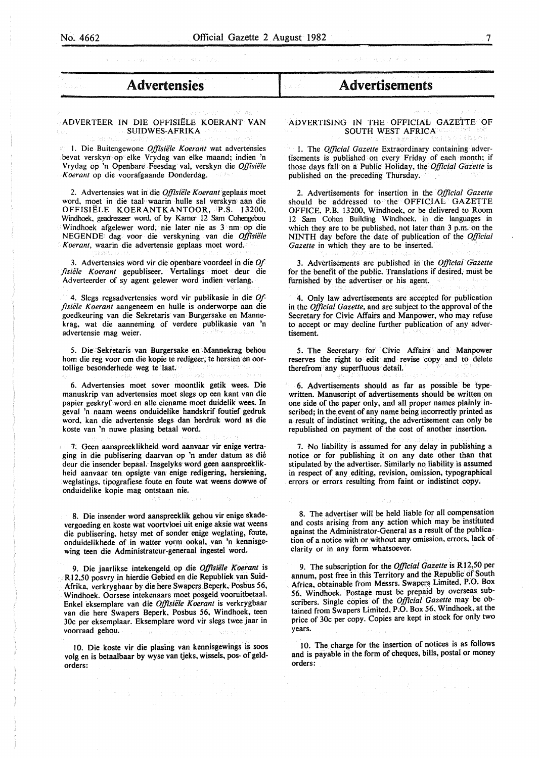- 1<br>- 1913<br>- <del>1920</del><br>- 1

# - **Advertensies**

### ADVERTEER IN DIE OFFISIËLE KOERANT VAN SUIDWES-AFRIKA

1. Die Buitengewone Offisiële Koerant wat advertensies bevat verskyn op elke Vrydag van elke maand; indien 'n Vrydag op 'n Openbare Feesdag val, verskyn die *Offisiele Koerant* op die voorafgaande Donderdag.

2. Advertensies wat in die *Offisiele Koerant* geplaas moet word, moet in die taal waarin hulle sal verskyn aan die OFFISIËLE KOERANTKANTOOR, P.S. 13200, Windhoek, geadresseer word. of by Kamer 12 Sam Cohengebou Windhoek afgelewer word, nie later nie as 3 nm op die NEGENDE dag voor die verskyning van die *Offisiele Koerant,* waarin die advertensie geplaas moet word.

3. Advertensies word vir die openbare voordeel in die *Offisiele Koerant* gepubliseer. Vertalings moet deur die Adverteerder of sy agent gelewer word indien verlang.

4. Slegs regsadvertensies word vir publikasie in die *Offisiele Koerant* aangeneem en bulle is onderworpe aan die goedkeuring van die Sekretaris van Burgersake en Mannekrag, wat die aanneming of verdere publikasie van 'n advertensie mag weier.

5. Die Sekretaris van Burgersake en Mannekrag behou hom die reg voor om die kopie te redigeer, te hersien en oortollige besonderhede weg te laat.

6. Advertensies moet sover moontlik getik wees. Die manuskrip van advertensies moet slegs op een kant van die papier geskryf word en alle eiename moet duidelik wees. In geval 'n naam weens onduidelike handskrif foutief gedruk word, kan die advertensie slegs dan herdruk word as die koste van 'n nuwe plasing betaal word.

7. Geen aanspreeklikheid word aanvaar vir enige vertraging in die publisering daarvan op 'n ander datum as die deur die insender bepaal. Insgelyks word geen aanspreeklikheid aanvaar ten opsigte van enige redigering, hersiening, weglatings. tipografiese. foute en foute wat weens dowwe of onduidelike kopie mag ontstaan nie.

8. Die insender word aanspreeklik gehou vir enige skadevergoeding en koste wat voortvloei uit enige aksie wat weens die publisering, betsy met of sonder enige weglating, foute, onduidelikhede of in watter vorm ookal, van 'n kennisgewing teen die Administrateur-generaal ingestel word.

9. Die jaarlikse intekengeld op die *Offisiele Koerant* is R 12.50 posvry in hierdie Gebied en die Republiek van Suid-Afrika. verkrygbaar by die here Swapers Beperk, Posbus 56, Windhoek. Oorsese intekenaars moet posgeld vooruitbetaal. Enkel eksemplare van die *Offisiele Koerant* is verkrygbaar van die here Swapers Beperk, Posbus 56, Windhoek, teen 30c per eksemplaar. Eksemplare word vir slegs twee jaar in voorraad gehou.

10. Die koste vir die plasing van kennisgewings is soos volg en is betaalbaar by wyse van tjeks, wissels, pos- of geldorders:

## I **Advertisements**

### ADVERTISING IN THE OFFICIAL GAZETTE OF SOUTH WEST AFRICA

l. The *Official Gazette* Extraordinary containing advertisements is published on every Friday of each month; if those days fall on a Public Holiday, the *Official Gazette* is published on the preceding Thursday.

2. Advertisements for insertion in the *Official Gazette*  should be addressed to the OFFICIAL GAZETTE OFFICE, P.B. 13200, Windhoek, or be delivered to Room 12 Sam Cohen Building Windhoek, in die languages in which they are to be published, not later than 3 p.m. on the NINTH day before the date of publication of the *Official Gazette* in which they are to be inserted.

3. Advertisements are published in the *Official Gazette* for the benefit of the public. Translations if desired, must be furnished by the advertiser or his agent.

4. Only law advertisements are accepted for publication in the *Official Gazette,* and are subject to the approval of the Secretary for Civic Affairs and Manpower, who may refuse to accept or may decline further publication of any advertisement.

5. The Secretary for Civic Affairs and Manpower reserves the right to edit and revise copy and to delete therefrom any superfluous detail.

6. Advertisements should as far as possible be typewritten. Manuscript of advertisements should be written on one side of the paper only, and all proper names plainly inscribed; in the event of any name being incorrectly printed as a result of indistinct writing, the advertisement can only be republished on payment of the cost of another insertion.

7. No liability is assumed for any delay in publishing a notice or for publishing it on any date other than that stipulated by the advertiser. Similarly no liability is assumed in respect of any editing, revision, omission, typographical errors or errors resulting from faint or indistinct copy.

8. The advertiser will be held liable for all compensation and costs arising from any action which may be instituted against the Administrator-General as a result of the publication of a notice with or without any omission, errors, lack of clarity or in any form whatsoever.

9. The subscription for the *Official Gazette* is Rl2,50 per annum, post free in this Territory and the Republic of South Africa, obtainable from Messrs. Swapers Limited, P.O. Box 56. Windhoek. Postage must be prepaid by overseas subscribers. Single copies of the *Official Gazette* may be obtained from Swapers Limited, P.O. Box 56, Windhoek, at the price of 30c per copy. Copies are kept in stock for only two years.

10. The charge for the insertion of notices is as follows and is payable in the form of cheques, bills, postal or money orders: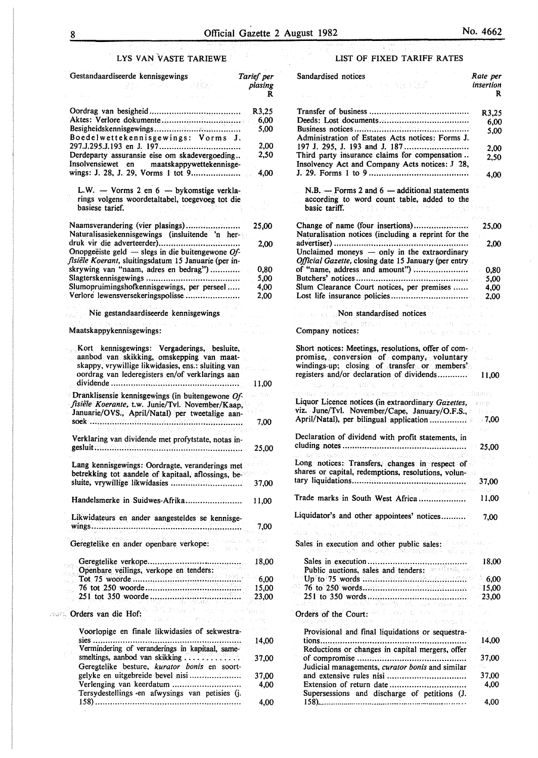### LYS VAN VASTE TARIEWE

| Gestandaardiseerde kennisgewings                                                                            | Tarief per<br>plasing |
|-------------------------------------------------------------------------------------------------------------|-----------------------|
|                                                                                                             | R                     |
|                                                                                                             | R3,25                 |
|                                                                                                             | 6,00                  |
| Boedelwettekennisgewings: Vorms J.                                                                          | 5,00                  |
|                                                                                                             | 2,00                  |
| Derdeparty assuransie eise om skadevergoeding                                                               | 2,50                  |
| Insolvensiewet en maatskappywettekennisge-<br>wings: J. 28, J. 29, Vorms 1 tot 9                            | 4,00                  |
| L.W. - Vorms 2 en 6 - bykomstige verkla-                                                                    |                       |
| rings volgens woordetaltabel, toegevoeg tot die<br>basiese tarief.                                          |                       |
| s I                                                                                                         |                       |
| Naamsverandering (vier plasings)                                                                            | 25,00                 |
| Naturalisasiekennisgewings (insluitende 'n her-                                                             | 2,00                  |
| Onopgeëiste geld — slegs in die buitengewone $Of$ -<br>fisiële Koerant, sluitingsdatum 15 Januarie (per in- |                       |
| skrywing van "naam, adres en bedrag")                                                                       | 0,80                  |
|                                                                                                             | 5,00                  |
| Slumopruimingshofkennisgewings, per perseel                                                                 | 4,00                  |
| Verlore lewensversekeringspolisse                                                                           | 2,00                  |
| Nie gestandaardiseerde kennisgewings                                                                        |                       |
| In a trager<br>suport and<br>Maatskappykennisgewings:                                                       |                       |
| Kort kennisgewings: Vergaderings, besluite,<br>aanbod van skikking, omskepping van maat-                    |                       |
| skappy, vrywillige likwidasies, ens.: sluiting van<br>oordrag van lederegisters en/of verklarings aan       |                       |
|                                                                                                             | 11.00                 |
| $\blacksquare$ Dranklisensie kennisgewings (in buitengewone Of-                                             |                       |
| fisiële Koerante, t.w. Junie/Tvl. November/Kaap,<br>Januarie/OVS., April/Natal) per tweetalige aan-         |                       |
| soek<br>.                                                                                                   | 7,00                  |
| Verklaring van dividende met profytstate, notas in-                                                         |                       |
|                                                                                                             | 25,00                 |
| Lang kennisgewings: Oordragte, veranderings met                                                             |                       |
| betrekking tot aandele of kapitaal, aflossings, be-                                                         |                       |
|                                                                                                             | 37,00                 |
| Handelsmerke in Suidwes-Afrika                                                                              | 11,00                 |
| Likwidateurs en ander aangesteldes se kennisge-                                                             |                       |
|                                                                                                             | 7,00                  |
| Geregtelike en ander openbare verkope:                                                                      |                       |
|                                                                                                             |                       |
|                                                                                                             |                       |
|                                                                                                             | 23,00                 |
| caute Orders van die Hof:<br>The resolution fasture<br>an kalendar Kalendar, ta basa                        |                       |
| Voorlopige en finale likwidasies of sekwestra-                                                              |                       |
| Vermindering of veranderings in kapitaal, same-                                                             | 14,00                 |
| smeltings, aanbod van skikking                                                                              | 37,00                 |
| Geregtelike besture, kurator bonis en soort-                                                                |                       |
| gelyke en uitgebreide bevel nisi<br>Verlenging van keerdatum                                                | 37,00<br>4,00         |
| Tersydestellings «en afwysings van petisies (j.                                                             |                       |

158) ......................................................... ..

4,00

### LIST OF FIXED TARIFF RATES

| Sandardised notices<br>不言 计分散线式<br>as a property of the state of                                                                                                                                                                                                             | Rate per<br>insertion<br>R                           |
|------------------------------------------------------------------------------------------------------------------------------------------------------------------------------------------------------------------------------------------------------------------------------|------------------------------------------------------|
|                                                                                                                                                                                                                                                                              | R3,25<br>6,00                                        |
| Administration of Estates Acts notices: Forms J.                                                                                                                                                                                                                             | 5.00                                                 |
| Third party insurance claims for compensation<br>Insolvency Act and Company Acts notices: J 28,                                                                                                                                                                              | 2,00<br>2,50                                         |
|                                                                                                                                                                                                                                                                              | 4,00                                                 |
| N.B. - Forms 2 and $6$ - additional statements<br>according to word count table, added to the<br>basic tariff. Constitution of the property<br><b>Committee Construction</b><br>$\gamma_{2}=\gamma_{1}+\gamma_{2}$                                                           | ganda tash                                           |
| Naturalisation notices (including a reprint for the                                                                                                                                                                                                                          | 25,00                                                |
| Unclaimed moneys - only in the extraordinary<br>Official Gazette, closing date 15 January (per entry<br>of "name, address and amount")                                                                                                                                       | -2,00<br>0.80                                        |
|                                                                                                                                                                                                                                                                              | 5,00                                                 |
| Slum Clearance Court notices, per premises                                                                                                                                                                                                                                   | 4.00<br>2,00                                         |
| mental police in the case<br><b>Solution Standardised notices Constandardised notices</b>                                                                                                                                                                                    |                                                      |
| je poznatelju stavanje se pravile se postavlja se se se se s<br>Company notices:<br>(一般情報の)対応の取り続き方法                                                                                                                                                                         |                                                      |
| Short notices: Meetings, resolutions, offer of com-<br>promise, conversion of company, voluntary                                                                                                                                                                             | o su                                                 |
| windings-up; closing of transfer or members'<br>registers and/or declaration of dividends                                                                                                                                                                                    | 11,00                                                |
| Tops follows (MRNET Common Communi-                                                                                                                                                                                                                                          |                                                      |
| ai as cina an spousa Bon néann na machair an<br>Liquor Licence notices (in extraordinary Gazettes,                                                                                                                                                                           |                                                      |
| viz. June/Tvl. November/Cape, January/O.F.S.,                                                                                                                                                                                                                                |                                                      |
| Declaration of dividend with profit statements, in                                                                                                                                                                                                                           |                                                      |
| an 22 hasa 1953 na mga kalawang Disabat Morong (                                                                                                                                                                                                                             |                                                      |
| Long notices: Transfers, changes in respect of<br>shares or capital, redemptions, resolutions, volun-                                                                                                                                                                        | 37.00                                                |
| 计转移 医脑质 法处理<br>$\mathcal{L}_\mathrm{in}$ .                                                                                                                                                                                                                                   | ST WA                                                |
| Trade marks in South West Africa                                                                                                                                                                                                                                             | 11.00                                                |
| Liquidator's and other appointees' notices<br>Contractor Service State<br>$\langle\cdot\,e\rangle\rightarrow\langle\cdot\,e^{i\Delta_{\rm{c}}/2}\rangle$<br>an Kilogram<br>state of the concept of the second in the come.                                                   | 7.00                                                 |
| Sales in execution and other public sales:<br>anticopy to the mean of the contribution of the model of the contribution of the contribution of the contribution of the contribution of the contribution of the contribution of the contribution of the contribution of the c |                                                      |
| Public auctions, sales and tenders: produced                                                                                                                                                                                                                                 | 18,00                                                |
| $Up16$ $75$ words $100$                                                                                                                                                                                                                                                      | $-15,00$                                             |
| Villey and also make at the                                                                                                                                                                                                                                                  | - 23.00                                              |
| Orders of the Court: West Windows Court and the Court<br>an agos estado y partidos por la s<br>55 AL                                                                                                                                                                         |                                                      |
| Provisional and final liquidations or sequestra-                                                                                                                                                                                                                             | $\mathbb{C}[\varphi_{T}^{(2)}]=\varphi_{t}$<br>14,00 |
| Reductions or changes in capital mergers, offer                                                                                                                                                                                                                              | 37,00                                                |
| Judicial managements, curator bonis and similar                                                                                                                                                                                                                              | M.<br>37,00                                          |
| Extension of return date<br>Supersessions and discharge of petitions (J.                                                                                                                                                                                                     | 4,00                                                 |
|                                                                                                                                                                                                                                                                              | 4,00                                                 |